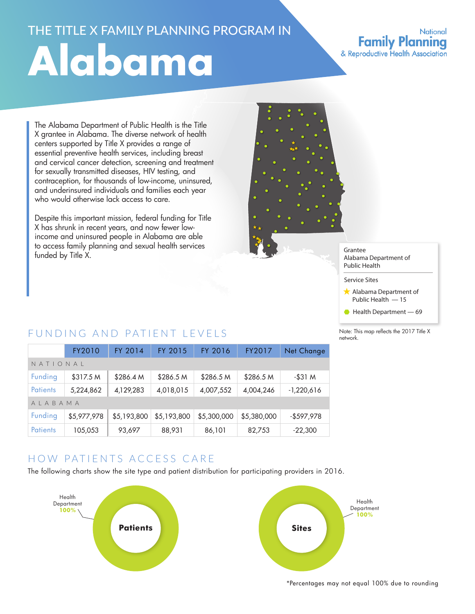# THE TITLE X FAMILY PLANNING PROGRAM IN **Alabama**

#### **National Family Planning** & Reproductive Health Association

The Alabama Department of Public Health is the Title X grantee in Alabama. The diverse network of health centers supported by Title X provides a range of essential preventive health services, including breast and cervical cancer detection, screening and treatment for sexually transmitted diseases, HIV testing, and contraception, for thousands of low-income, uninsured, and underinsured individuals and families each year who would otherwise lack access to care.

Despite this important mission, federal funding for Title X has shrunk in recent years, and now fewer lowincome and uninsured people in Alabama are able to access family planning and sexual health services funded by Title X.



#### Grantee Alabama Department of Public Health

Service Sites

- Alabama Department of Public Health — 15
- $\bullet$  Health Department  $-69$

Note: This map reflects the 2017 Title X network.

### FUNDING AND PATIENT LEVELS

|                 | FY2010      | FY 2014     | FY 2015     | FY 2016     | FY2017      | Net Change   |  |
|-----------------|-------------|-------------|-------------|-------------|-------------|--------------|--|
| NATIONAL        |             |             |             |             |             |              |  |
| Funding         | \$317.5 M   | \$286.4 M   | \$286.5 M   | \$286.5 M   | \$286.5 M   | $-$ \$31 $M$ |  |
| <b>Patients</b> | 5,224,862   | 4,129,283   | 4,018,015   | 4,007,552   | 4,004,246   | $-1,220,616$ |  |
| AIABAMA         |             |             |             |             |             |              |  |
| Funding         | \$5,977,978 | \$5,193,800 | \$5,193,800 | \$5,300,000 | \$5,380,000 | $-$597,978$  |  |
| <b>Patients</b> | 105,053     | 93,697      | 88,931      | 86,101      | 82,753      | $-22,300$    |  |

# HOW PATIENTS ACCESS CARE

The following charts show the site type and patient distribution for participating providers in 2016.



\*Percentages may not equal 100% due to rounding